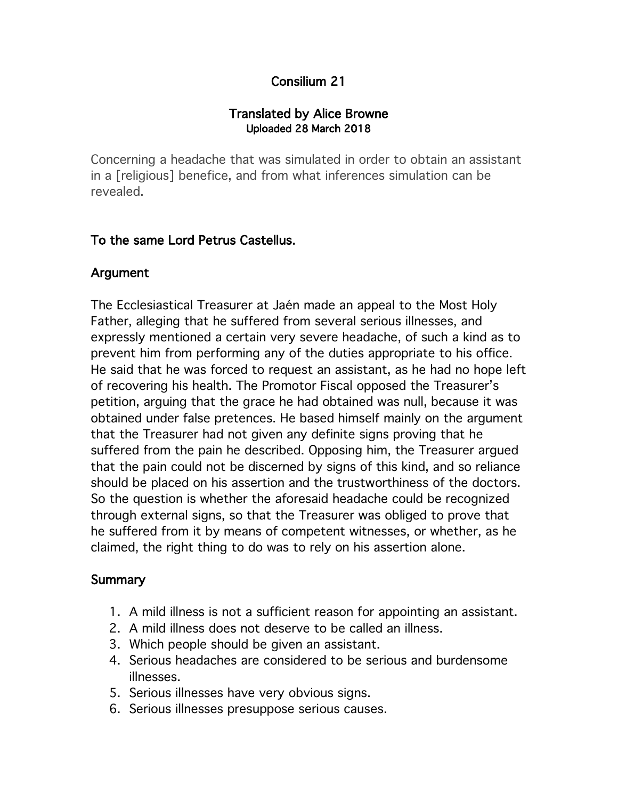# Consilium 21

### Translated by Alice Browne Uploaded 28 March 2018

Concerning a headache that was simulated in order to obtain an assistant in a [religious] benefice, and from what inferences simulation can be revealed.

## To the same Lord Petrus Castellus.

## Argument

The Ecclesiastical Treasurer at Jaén made an appeal to the Most Holy Father, alleging that he suffered from several serious illnesses, and expressly mentioned a certain very severe headache, of such a kind as to prevent him from performing any of the duties appropriate to his office. He said that he was forced to request an assistant, as he had no hope left of recovering his health. The Promotor Fiscal opposed the Treasurer's petition, arguing that the grace he had obtained was null, because it was obtained under false pretences. He based himself mainly on the argument that the Treasurer had not given any definite signs proving that he suffered from the pain he described. Opposing him, the Treasurer argued that the pain could not be discerned by signs of this kind, and so reliance should be placed on his assertion and the trustworthiness of the doctors. So the question is whether the aforesaid headache could be recognized through external signs, so that the Treasurer was obliged to prove that he suffered from it by means of competent witnesses, or whether, as he claimed, the right thing to do was to rely on his assertion alone.

## **Summary**

- 1. A mild illness is not a sufficient reason for appointing an assistant.
- 2. A mild illness does not deserve to be called an illness.
- 3. Which people should be given an assistant.
- 4. Serious headaches are considered to be serious and burdensome illnesses.
- 5. Serious illnesses have very obvious signs.
- 6. Serious illnesses presuppose serious causes.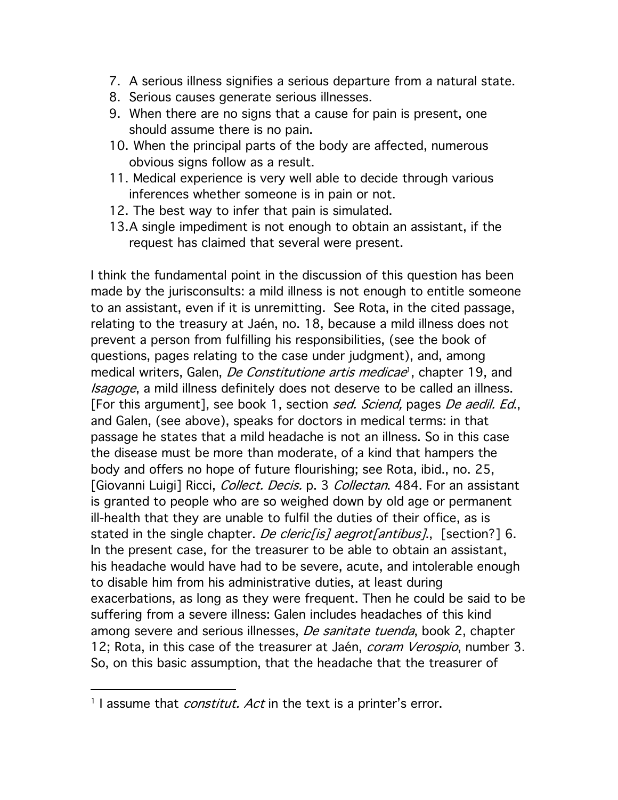- 7. A serious illness signifies a serious departure from a natural state.
- 8. Serious causes generate serious illnesses.
- 9. When there are no signs that a cause for pain is present, one should assume there is no pain.
- 10. When the principal parts of the body are affected, numerous obvious signs follow as a result.
- 11. Medical experience is very well able to decide through various inferences whether someone is in pain or not.
- 12. The best way to infer that pain is simulated.
- 13.A single impediment is not enough to obtain an assistant, if the request has claimed that several were present.

I think the fundamental point in the discussion of this question has been made by the jurisconsults: a mild illness is not enough to entitle someone to an assistant, even if it is unremitting. See Rota, in the cited passage, relating to the treasury at Jaén, no. 18, because a mild illness does not prevent a person from fulfilling his responsibilities, (see the book of questions, pages relating to the case under judgment), and, among medical writers, Galen, *De Constitutione artis medicae*<sup>1</sup>, chapter 19, and Isagoge, a mild illness definitely does not deserve to be called an illness. [For this argument], see book 1, section sed. Sciend, pages De aedil. Ed., and Galen, (see above), speaks for doctors in medical terms: in that passage he states that a mild headache is not an illness. So in this case the disease must be more than moderate, of a kind that hampers the body and offers no hope of future flourishing; see Rota, ibid., no. 25, [Giovanni Luigi] Ricci, *Collect. Decis.* p. 3 *Collectan*. 484. For an assistant is granted to people who are so weighed down by old age or permanent ill-health that they are unable to fulfil the duties of their office, as is stated in the single chapter. *De cleric[is] aegrot[antibus]*., [section?] 6. In the present case, for the treasurer to be able to obtain an assistant, his headache would have had to be severe, acute, and intolerable enough to disable him from his administrative duties, at least during exacerbations, as long as they were frequent. Then he could be said to be suffering from a severe illness: Galen includes headaches of this kind among severe and serious illnesses, *De sanitate tuenda*, book 2, chapter 12; Rota, in this case of the treasurer at Jaén, *coram Verospio*, number 3. So, on this basic assumption, that the headache that the treasurer of

<sup>&</sup>lt;sup>1</sup> I assume that *constitut. Act* in the text is a printer's error.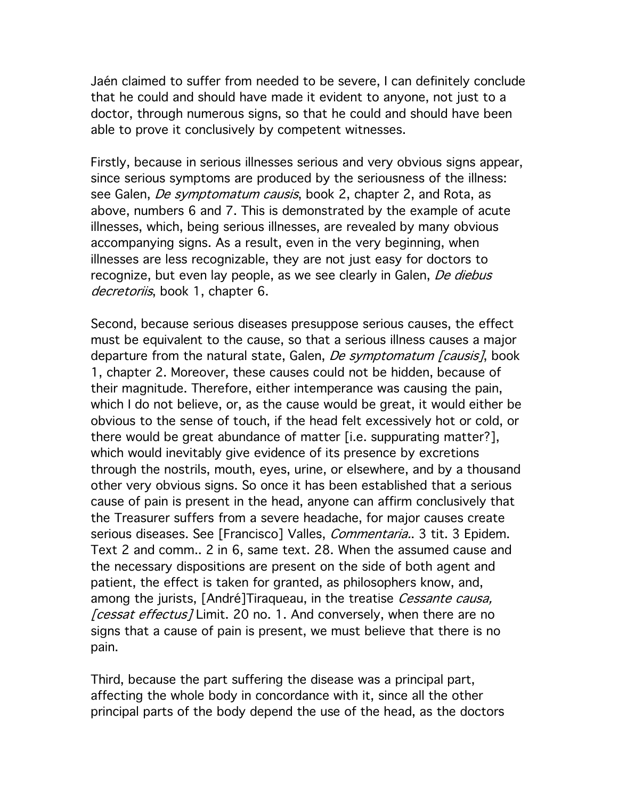Jaén claimed to suffer from needed to be severe, I can definitely conclude that he could and should have made it evident to anyone, not just to a doctor, through numerous signs, so that he could and should have been able to prove it conclusively by competent witnesses.

Firstly, because in serious illnesses serious and very obvious signs appear, since serious symptoms are produced by the seriousness of the illness: see Galen, *De symptomatum causis*, book 2, chapter 2, and Rota, as above, numbers 6 and 7. This is demonstrated by the example of acute illnesses, which, being serious illnesses, are revealed by many obvious accompanying signs. As a result, even in the very beginning, when illnesses are less recognizable, they are not just easy for doctors to recognize, but even lay people, as we see clearly in Galen, De diebus decretoriis, book 1, chapter 6.

Second, because serious diseases presuppose serious causes, the effect must be equivalent to the cause, so that a serious illness causes a major departure from the natural state, Galen, *De symptomatum [causis]*, book 1, chapter 2. Moreover, these causes could not be hidden, because of their magnitude. Therefore, either intemperance was causing the pain, which I do not believe, or, as the cause would be great, it would either be obvious to the sense of touch, if the head felt excessively hot or cold, or there would be great abundance of matter [i.e. suppurating matter?], which would inevitably give evidence of its presence by excretions through the nostrils, mouth, eyes, urine, or elsewhere, and by a thousand other very obvious signs. So once it has been established that a serious cause of pain is present in the head, anyone can affirm conclusively that the Treasurer suffers from a severe headache, for major causes create serious diseases. See [Francisco] Valles, *Commentaria.*. 3 tit. 3 Epidem. Text 2 and comm.. 2 in 6, same text. 28. When the assumed cause and the necessary dispositions are present on the side of both agent and patient, the effect is taken for granted, as philosophers know, and, among the jurists, [André]Tiraqueau, in the treatise Cessante causa, *[cessat effectus]* Limit. 20 no. 1. And conversely, when there are no signs that a cause of pain is present, we must believe that there is no pain.

Third, because the part suffering the disease was a principal part, affecting the whole body in concordance with it, since all the other principal parts of the body depend the use of the head, as the doctors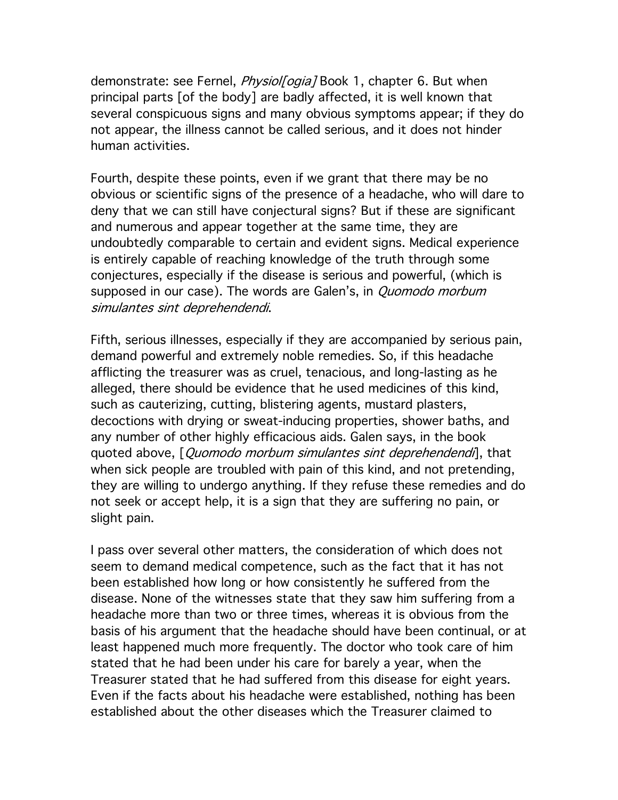demonstrate: see Fernel, *Physiol[ogia]* Book 1, chapter 6. But when principal parts [of the body] are badly affected, it is well known that several conspicuous signs and many obvious symptoms appear; if they do not appear, the illness cannot be called serious, and it does not hinder human activities.

Fourth, despite these points, even if we grant that there may be no obvious or scientific signs of the presence of a headache, who will dare to deny that we can still have conjectural signs? But if these are significant and numerous and appear together at the same time, they are undoubtedly comparable to certain and evident signs. Medical experience is entirely capable of reaching knowledge of the truth through some conjectures, especially if the disease is serious and powerful, (which is supposed in our case). The words are Galen's, in *Quomodo morbum* simulantes sint deprehendendi.

Fifth, serious illnesses, especially if they are accompanied by serious pain, demand powerful and extremely noble remedies. So, if this headache afflicting the treasurer was as cruel, tenacious, and long-lasting as he alleged, there should be evidence that he used medicines of this kind, such as cauterizing, cutting, blistering agents, mustard plasters, decoctions with drying or sweat-inducing properties, shower baths, and any number of other highly efficacious aids. Galen says, in the book quoted above, [*Quomodo morbum simulantes sint deprehendendi*], that when sick people are troubled with pain of this kind, and not pretending, they are willing to undergo anything. If they refuse these remedies and do not seek or accept help, it is a sign that they are suffering no pain, or slight pain.

I pass over several other matters, the consideration of which does not seem to demand medical competence, such as the fact that it has not been established how long or how consistently he suffered from the disease. None of the witnesses state that they saw him suffering from a headache more than two or three times, whereas it is obvious from the basis of his argument that the headache should have been continual, or at least happened much more frequently. The doctor who took care of him stated that he had been under his care for barely a year, when the Treasurer stated that he had suffered from this disease for eight years. Even if the facts about his headache were established, nothing has been established about the other diseases which the Treasurer claimed to